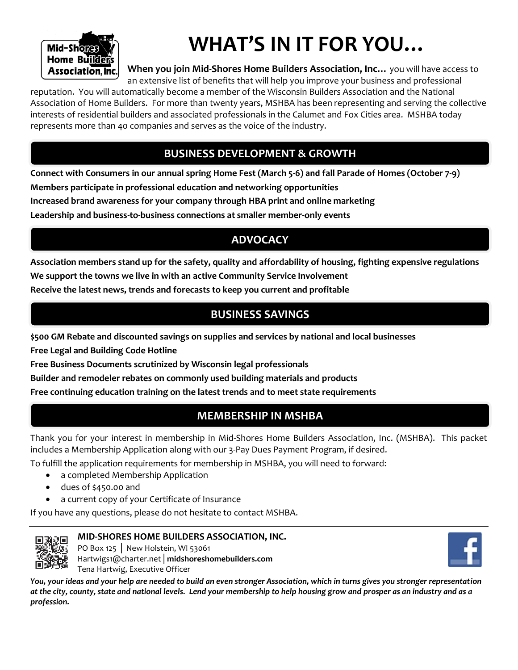

# **WHAT'S IN IT FOR YOU…**

**When you join Mid-Shores Home Builders Association, Inc…** you will have access to an extensive list of benefits that will help you improve your business and professional

reputation. You will automatically become a member of the Wisconsin Builders Association and the National Association of Home Builders. For more than twenty years, MSHBA has been representing and serving the collective interests of residential builders and associated professionals in the Calumet and Fox Cities area. MSHBA today represents more than 40 companies and serves as the voice of the industry.

## **BUSINESS DEVELOPMENT & GROWTH**

**Connect with Consumers in our annual spring Home Fest (March 5-6) and fall Parade of Homes (October 7-9)**

**Members participate in professional education and networking opportunities**

**Increased brand awareness for your company through HBA print and online marketing** 

**Leadership and business-to-business connections at smaller member-only events**

## **ADVOCACY**

**Association members stand up for the safety, quality and affordability of housing, fighting expensive regulations We support the towns we live in with an active Community Service Involvement**

**Receive the latest news, trends and forecasts to keep you current and profitable**

## **BUSINESS SAVINGS**

**\$500 GM Rebate and discounted savings on supplies and services by national and local businesses**

**Free Legal and Building Code Hotline**

**Free Business Documents scrutinized by Wisconsin legal professionals**

**Builder and remodeler rebates on commonly used building materials and products**

**Free continuing education training on the latest trends and to meet state requirements**

## **MEMBERSHIP IN MSHBA**

Thank you for your interest in membership in Mid-Shores Home Builders Association, Inc. (MSHBA). This packet includes a Membership Application along with our 3-Pay Dues Payment Program, if desired.

To fulfill the application requirements for membership in MSHBA, you will need to forward:

- a completed Membership Application
- dues of \$450.00 and
- a current copy of your Certificate of Insurance

If you have any questions, please do not hesitate to contact MSHBA.



#### **MID-SHORES HOME BUILDERS ASSOCIATION, INC.**

PO Box 125 │ New Holstein, WI 53061 Hartwigs1@charter.net│**midshoreshomebuilders.com**  Tena Hartwig, Executive Officer



*You, your ideas and your help are needed to build an even stronger Association, which in turns gives you stronger representation at the city, county, state and national levels. Lend your membership to help housing grow and prosper as an industry and as a profession.*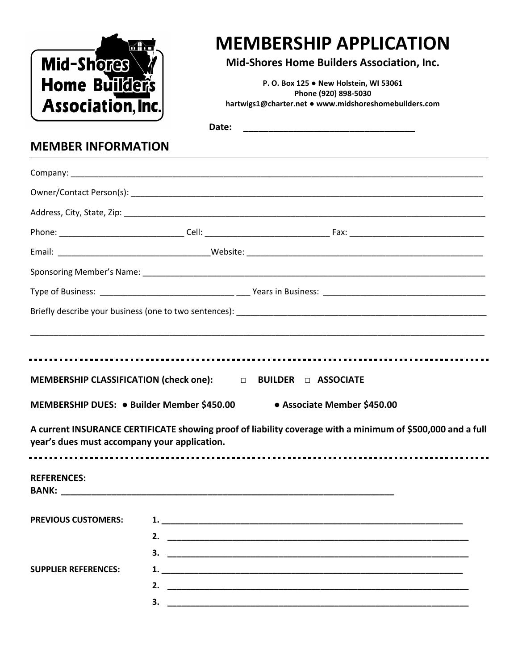|                                                                                                                                             | <b>MEMBERSHIP APPLICATION</b>                                                                                                                                        |  |  |
|---------------------------------------------------------------------------------------------------------------------------------------------|----------------------------------------------------------------------------------------------------------------------------------------------------------------------|--|--|
| Mid-Shores<br><b>Home Builders</b>                                                                                                          | Mid-Shores Home Builders Association, Inc.<br>P.O. Box 125 . New Holstein, WI 53061<br>Phone (920) 898-5030<br>hartwigs1@charter.net . www.midshoreshomebuilders.com |  |  |
| Association, Inc.                                                                                                                           |                                                                                                                                                                      |  |  |
|                                                                                                                                             | Date:                                                                                                                                                                |  |  |
| <b>MEMBER INFORMATION</b>                                                                                                                   |                                                                                                                                                                      |  |  |
|                                                                                                                                             |                                                                                                                                                                      |  |  |
|                                                                                                                                             |                                                                                                                                                                      |  |  |
|                                                                                                                                             |                                                                                                                                                                      |  |  |
|                                                                                                                                             |                                                                                                                                                                      |  |  |
|                                                                                                                                             |                                                                                                                                                                      |  |  |
|                                                                                                                                             |                                                                                                                                                                      |  |  |
|                                                                                                                                             |                                                                                                                                                                      |  |  |
|                                                                                                                                             |                                                                                                                                                                      |  |  |
|                                                                                                                                             | <b>DEBUILDER DE ASSOCIATE</b>                                                                                                                                        |  |  |
|                                                                                                                                             | • Associate Member \$450.00                                                                                                                                          |  |  |
| <b>MEMBERSHIP CLASSIFICATION (check one):</b><br>MEMBERSHIP DUES: · Builder Member \$450.00<br>year's dues must accompany your application. | A current INSURANCE CERTIFICATE showing proof of liability coverage with a minimum of \$500,000 and a full                                                           |  |  |
| <b>REFERENCES:</b>                                                                                                                          |                                                                                                                                                                      |  |  |
|                                                                                                                                             |                                                                                                                                                                      |  |  |
|                                                                                                                                             |                                                                                                                                                                      |  |  |
|                                                                                                                                             |                                                                                                                                                                      |  |  |
| <b>PREVIOUS CUSTOMERS:</b><br><b>SUPPLIER REFERENCES:</b>                                                                                   |                                                                                                                                                                      |  |  |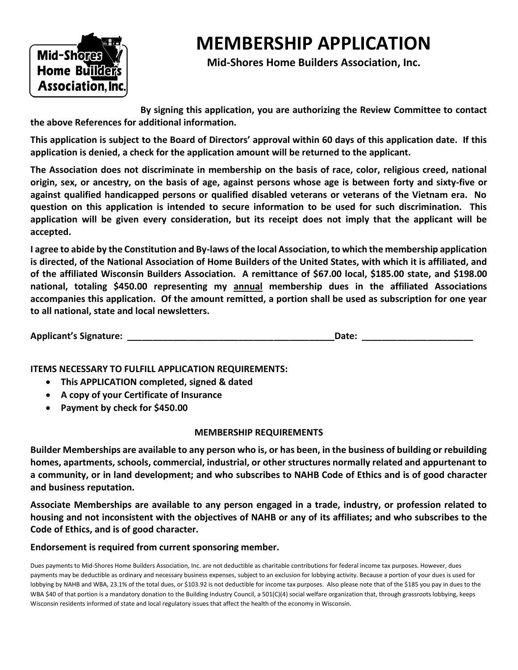

## **MEMBERSHIP APPLICATION**

**Mid-Shores Home Builders Association, Inc.**

**By signing this application, you are authorizing the Review Committee to contact the above References for additional information.**

**This application is subject to the Board of Directors' approval within 60 days of this application date. If this application is denied, a check for the application amount will be returned to the applicant.**

**The Association does not discriminate in membership on the basis of race, color, religious creed, national origin, sex, or ancestry, on the basis of age, against persons whose age is between forty and sixty-five or against qualified handicapped persons or qualified disabled veterans or veterans of the Vietnam era. No question on this application is intended to secure information to be used for such discrimination. This application will be given every consideration, but its receipt does not imply that the applicant will be accepted.**

**I agree to abide by the Constitution and By-laws of the local Association, to which the membership application is directed, of the National Association of Home Builders of the United States, with which it is affiliated, and of the affiliated Wisconsin Builders Association. A remittance of \$67.00 local, \$185.00 state, and \$198.00 national, totaling \$450.00 representing my annual membership dues in the affiliated Associations accompanies this application. Of the amount remitted, a portion shall be used as subscription for one year to all national, state and local newsletters.**

| <b>Applicant's Signature:</b> | Date |
|-------------------------------|------|
|-------------------------------|------|

**ITEMS NECESSARY TO FULFILL APPLICATION REQUIREMENTS:**

- **This APPLICATION completed, signed & dated**
- **A copy of your Certificate of Insurance**
- **Payment by check for \$450.00**

#### **MEMBERSHIP REQUIREMENTS**

**Builder Memberships are available to any person who is, or has been, in the business of building or rebuilding homes, apartments, schools, commercial, industrial, or other structures normally related and appurtenant to a community, or in land development; and who subscribes to NAHB Code of Ethics and is of good character and business reputation.**

**Associate Memberships are available to any person engaged in a trade, industry, or profession related to housing and not inconsistent with the objectives of NAHB or any of its affiliates; and who subscribes to the Code of Ethics, and is of good character.**

#### **Endorsement is required from current sponsoring member.**

Dues payments to Mid-Shores Home Builders Association, Inc. are not deductible as charitable contributions for federal income tax purposes. However, dues payments may be deductible as ordinary and necessary business expenses, subject to an exclusion for lobbying activity. Because a portion of your dues is used for lobbying by NAHB and WBA, 23.1% of the total dues, or \$103.92 is not deductible for income tax purposes. Also please note that of the \$185 you pay in dues to the WBA \$40 of that portion is a mandatory donation to the Building Industry Council, a 501(C)(4) social welfare organization that, through grassroots lobbying, keeps Wisconsin residents informed of state and local regulatory issues that affect the health of the economy in Wisconsin.